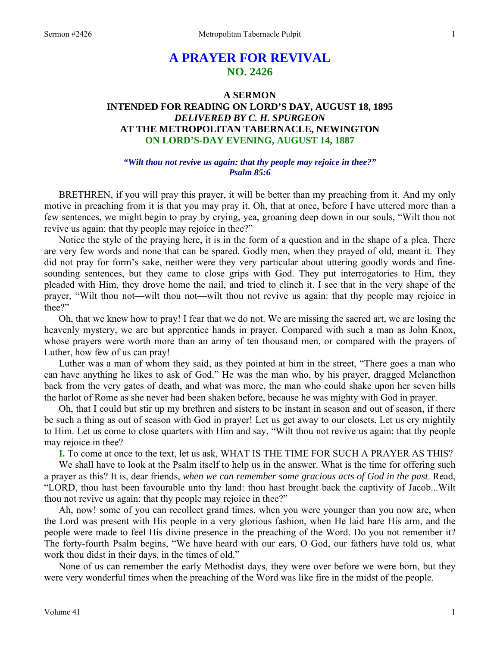# **A PRAYER FOR REVIVAL NO. 2426**

## **A SERMON INTENDED FOR READING ON LORD'S DAY, AUGUST 18, 1895**  *DELIVERED BY C. H. SPURGEON*  **AT THE METROPOLITAN TABERNACLE, NEWINGTON ON LORD'S-DAY EVENING, AUGUST 14, 1887**

## *"Wilt thou not revive us again: that thy people may rejoice in thee?" Psalm 85:6*

BRETHREN, if you will pray this prayer, it will be better than my preaching from it. And my only motive in preaching from it is that you may pray it. Oh, that at once, before I have uttered more than a few sentences, we might begin to pray by crying, yea, groaning deep down in our souls, "Wilt thou not revive us again: that thy people may rejoice in thee?"

Notice the style of the praying here, it is in the form of a question and in the shape of a plea. There are very few words and none that can be spared. Godly men, when they prayed of old, meant it. They did not pray for form's sake, neither were they very particular about uttering goodly words and finesounding sentences, but they came to close grips with God. They put interrogatories to Him, they pleaded with Him, they drove home the nail, and tried to clinch it. I see that in the very shape of the prayer, "Wilt thou not—wilt thou not—wilt thou not revive us again: that thy people may rejoice in thee?"

Oh, that we knew how to pray! I fear that we do not. We are missing the sacred art, we are losing the heavenly mystery, we are but apprentice hands in prayer. Compared with such a man as John Knox, whose prayers were worth more than an army of ten thousand men, or compared with the prayers of Luther, how few of us can pray!

Luther was a man of whom they said, as they pointed at him in the street, "There goes a man who can have anything he likes to ask of God." He was the man who, by his prayer, dragged Melancthon back from the very gates of death, and what was more, the man who could shake upon her seven hills the harlot of Rome as she never had been shaken before, because he was mighty with God in prayer.

Oh, that I could but stir up my brethren and sisters to be instant in season and out of season, if there be such a thing as out of season with God in prayer! Let us get away to our closets. Let us cry mightily to Him. Let us come to close quarters with Him and say, "Wilt thou not revive us again: that thy people may rejoice in thee?

**I.** To come at once to the text, let us ask, WHAT IS THE TIME FOR SUCH A PRAYER AS THIS?

We shall have to look at the Psalm itself to help us in the answer. What is the time for offering such a prayer as this? It is, dear friends, *when we can remember some gracious acts of God in the past*. Read, "LORD, thou hast been favourable unto thy land: thou hast brought back the captivity of Jacob...Wilt thou not revive us again: that thy people may rejoice in thee?"

Ah, now! some of you can recollect grand times, when you were younger than you now are, when the Lord was present with His people in a very glorious fashion, when He laid bare His arm, and the people were made to feel His divine presence in the preaching of the Word. Do you not remember it? The forty-fourth Psalm begins, "We have heard with our ears, O God, our fathers have told us, what work thou didst in their days, in the times of old."

None of us can remember the early Methodist days, they were over before we were born, but they were very wonderful times when the preaching of the Word was like fire in the midst of the people.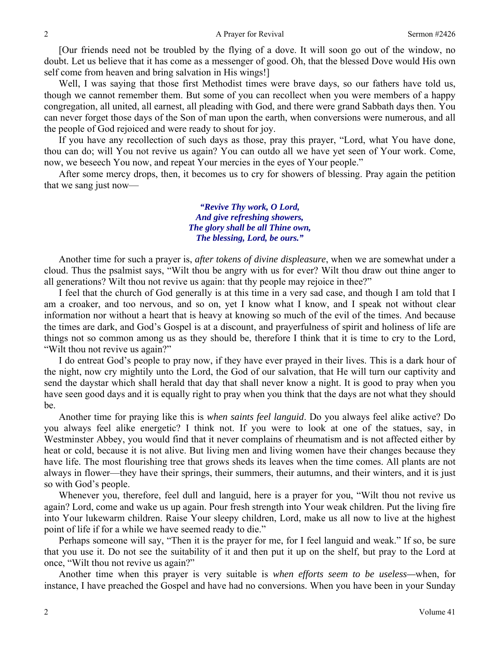[Our friends need not be troubled by the flying of a dove. It will soon go out of the window, no doubt. Let us believe that it has come as a messenger of good. Oh, that the blessed Dove would His own self come from heaven and bring salvation in His wings!]

Well, I was saying that those first Methodist times were brave days, so our fathers have told us, though we cannot remember them. But some of you can recollect when you were members of a happy congregation, all united, all earnest, all pleading with God, and there were grand Sabbath days then. You can never forget those days of the Son of man upon the earth, when conversions were numerous, and all the people of God rejoiced and were ready to shout for joy.

If you have any recollection of such days as those, pray this prayer, "Lord, what You have done, thou can do; will You not revive us again? You can outdo all we have yet seen of Your work. Come, now, we beseech You now, and repeat Your mercies in the eyes of Your people."

After some mercy drops, then, it becomes us to cry for showers of blessing. Pray again the petition that we sang just now—

> *"Revive Thy work, O Lord, And give refreshing showers, The glory shall be all Thine own, The blessing, Lord, be ours."*

Another time for such a prayer is, *after tokens of divine displeasure*, when we are somewhat under a cloud. Thus the psalmist says, "Wilt thou be angry with us for ever? Wilt thou draw out thine anger to all generations? Wilt thou not revive us again: that thy people may rejoice in thee?"

I feel that the church of God generally is at this time in a very sad case, and though I am told that I am a croaker, and too nervous, and so on, yet I know what I know, and I speak not without clear information nor without a heart that is heavy at knowing so much of the evil of the times. And because the times are dark, and God's Gospel is at a discount, and prayerfulness of spirit and holiness of life are things not so common among us as they should be, therefore I think that it is time to cry to the Lord, "Wilt thou not revive us again?"

I do entreat God's people to pray now, if they have ever prayed in their lives. This is a dark hour of the night, now cry mightily unto the Lord, the God of our salvation, that He will turn our captivity and send the daystar which shall herald that day that shall never know a night. It is good to pray when you have seen good days and it is equally right to pray when you think that the days are not what they should be.

Another time for praying like this is *when saints feel languid*. Do you always feel alike active? Do you always feel alike energetic? I think not. If you were to look at one of the statues, say, in Westminster Abbey, you would find that it never complains of rheumatism and is not affected either by heat or cold, because it is not alive. But living men and living women have their changes because they have life. The most flourishing tree that grows sheds its leaves when the time comes. All plants are not always in flower—they have their springs, their summers, their autumns, and their winters, and it is just so with God's people.

Whenever you, therefore, feel dull and languid, here is a prayer for you, "Wilt thou not revive us again? Lord, come and wake us up again. Pour fresh strength into Your weak children. Put the living fire into Your lukewarm children. Raise Your sleepy children, Lord, make us all now to live at the highest point of life if for a while we have seemed ready to die."

Perhaps someone will say, "Then it is the prayer for me, for I feel languid and weak." If so, be sure that you use it. Do not see the suitability of it and then put it up on the shelf, but pray to the Lord at once, "Wilt thou not revive us again?"

Another time when this prayer is very suitable is *when efforts seem to be useless—*when, for instance, I have preached the Gospel and have had no conversions. When you have been in your Sunday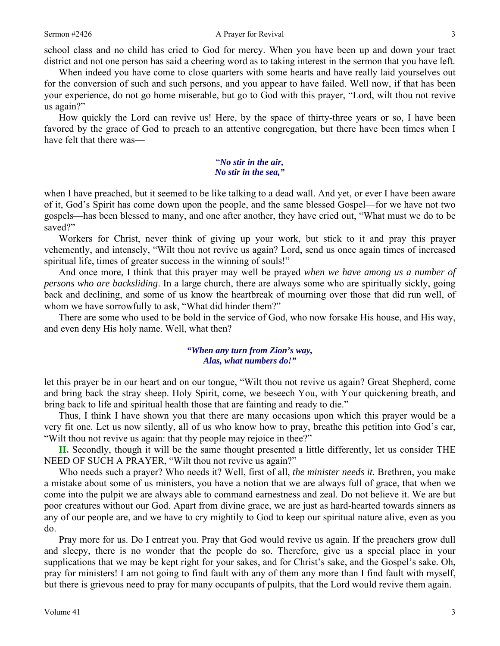school class and no child has cried to God for mercy. When you have been up and down your tract district and not one person has said a cheering word as to taking interest in the sermon that you have left.

When indeed you have come to close quarters with some hearts and have really laid yourselves out for the conversion of such and such persons, and you appear to have failed. Well now, if that has been your experience, do not go home miserable, but go to God with this prayer, "Lord, wilt thou not revive us again?"

How quickly the Lord can revive us! Here, by the space of thirty-three years or so, I have been favored by the grace of God to preach to an attentive congregation, but there have been times when I have felt that there was—

#### "*No stir in the air, No stir in the sea,"*

when I have preached, but it seemed to be like talking to a dead wall. And yet, or ever I have been aware of it, God's Spirit has come down upon the people, and the same blessed Gospel—for we have not two gospels—has been blessed to many, and one after another, they have cried out, "What must we do to be saved?"

Workers for Christ, never think of giving up your work, but stick to it and pray this prayer vehemently, and intensely, "Wilt thou not revive us again? Lord, send us once again times of increased spiritual life, times of greater success in the winning of souls!"

And once more, I think that this prayer may well be prayed *when we have among us a number of persons who are backsliding*. In a large church, there are always some who are spiritually sickly, going back and declining, and some of us know the heartbreak of mourning over those that did run well, of whom we have sorrowfully to ask, "What did hinder them?"

There are some who used to be bold in the service of God, who now forsake His house, and His way, and even deny His holy name. Well, what then?

## *"When any turn from Zion's way, Alas, what numbers do!"*

let this prayer be in our heart and on our tongue, "Wilt thou not revive us again? Great Shepherd, come and bring back the stray sheep. Holy Spirit, come, we beseech You, with Your quickening breath, and bring back to life and spiritual health those that are fainting and ready to die."

Thus, I think I have shown you that there are many occasions upon which this prayer would be a very fit one. Let us now silently, all of us who know how to pray, breathe this petition into God's ear, "Wilt thou not revive us again: that thy people may rejoice in thee?"

**II.** Secondly, though it will be the same thought presented a little differently, let us consider THE NEED OF SUCH A PRAYER, "Wilt thou not revive us again?"

Who needs such a prayer? Who needs it? Well, first of all, *the minister needs it*. Brethren, you make a mistake about some of us ministers, you have a notion that we are always full of grace, that when we come into the pulpit we are always able to command earnestness and zeal. Do not believe it. We are but poor creatures without our God. Apart from divine grace, we are just as hard-hearted towards sinners as any of our people are, and we have to cry mightily to God to keep our spiritual nature alive, even as you do.

Pray more for us. Do I entreat you. Pray that God would revive us again. If the preachers grow dull and sleepy, there is no wonder that the people do so. Therefore, give us a special place in your supplications that we may be kept right for your sakes, and for Christ's sake, and the Gospel's sake. Oh, pray for ministers! I am not going to find fault with any of them any more than I find fault with myself, but there is grievous need to pray for many occupants of pulpits, that the Lord would revive them again.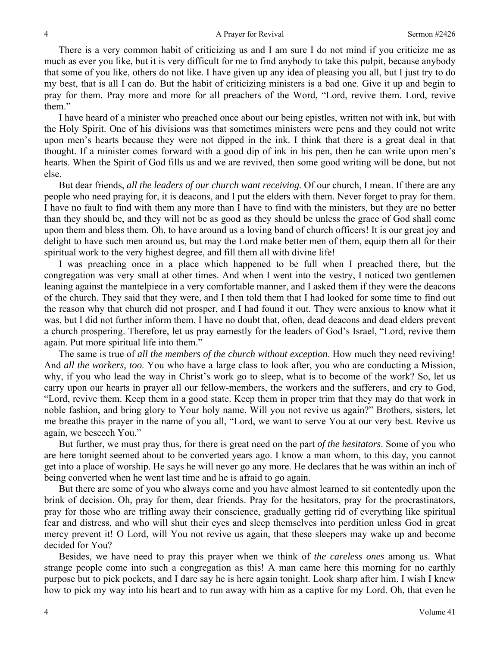There is a very common habit of criticizing us and I am sure I do not mind if you criticize me as much as ever you like, but it is very difficult for me to find anybody to take this pulpit, because anybody that some of you like, others do not like. I have given up any idea of pleasing you all, but I just try to do my best, that is all I can do. But the habit of criticizing ministers is a bad one. Give it up and begin to pray for them. Pray more and more for all preachers of the Word, "Lord, revive them. Lord, revive them."

I have heard of a minister who preached once about our being epistles, written not with ink, but with the Holy Spirit. One of his divisions was that sometimes ministers were pens and they could not write upon men's hearts because they were not dipped in the ink. I think that there is a great deal in that thought. If a minister comes forward with a good dip of ink in his pen, then he can write upon men's hearts. When the Spirit of God fills us and we are revived, then some good writing will be done, but not else.

But dear friends, *all the leaders of our church want receiving.* Of our church, I mean. If there are any people who need praying for, it is deacons, and I put the elders with them. Never forget to pray for them. I have no fault to find with them any more than I have to find with the ministers, but they are no better than they should be, and they will not be as good as they should be unless the grace of God shall come upon them and bless them. Oh, to have around us a loving band of church officers! It is our great joy and delight to have such men around us, but may the Lord make better men of them, equip them all for their spiritual work to the very highest degree, and fill them all with divine life!

I was preaching once in a place which happened to be full when I preached there, but the congregation was very small at other times. And when I went into the vestry, I noticed two gentlemen leaning against the mantelpiece in a very comfortable manner, and I asked them if they were the deacons of the church. They said that they were, and I then told them that I had looked for some time to find out the reason why that church did not prosper, and I had found it out. They were anxious to know what it was, but I did not further inform them. I have no doubt that, often, dead deacons and dead elders prevent a church prospering. Therefore, let us pray earnestly for the leaders of God's Israel, "Lord, revive them again. Put more spiritual life into them."

The same is true of *all the members of the church without exception*. How much they need reviving! And *all the workers, too*. You who have a large class to look after, you who are conducting a Mission, why, if you who lead the way in Christ's work go to sleep, what is to become of the work? So, let us carry upon our hearts in prayer all our fellow-members, the workers and the sufferers, and cry to God, "Lord, revive them. Keep them in a good state. Keep them in proper trim that they may do that work in noble fashion, and bring glory to Your holy name. Will you not revive us again?" Brothers, sisters, let me breathe this prayer in the name of you all, "Lord, we want to serve You at our very best. Revive us again, we beseech You."

But further, we must pray thus, for there is great need on the part *of the hesitators*. Some of you who are here tonight seemed about to be converted years ago. I know a man whom, to this day, you cannot get into a place of worship. He says he will never go any more. He declares that he was within an inch of being converted when he went last time and he is afraid to go again.

But there are some of you who always come and you have almost learned to sit contentedly upon the brink of decision. Oh, pray for them, dear friends. Pray for the hesitators, pray for the procrastinators, pray for those who are trifling away their conscience, gradually getting rid of everything like spiritual fear and distress, and who will shut their eyes and sleep themselves into perdition unless God in great mercy prevent it! O Lord, will You not revive us again, that these sleepers may wake up and become decided for You?

Besides, we have need to pray this prayer when we think of *the careless ones* among us. What strange people come into such a congregation as this! A man came here this morning for no earthly purpose but to pick pockets, and I dare say he is here again tonight. Look sharp after him. I wish I knew how to pick my way into his heart and to run away with him as a captive for my Lord. Oh, that even he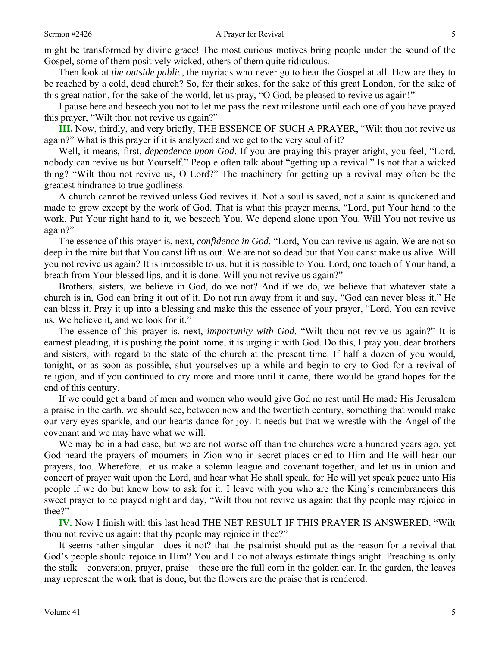might be transformed by divine grace! The most curious motives bring people under the sound of the Gospel, some of them positively wicked, others of them quite ridiculous.

Then look at *the outside public*, the myriads who never go to hear the Gospel at all. How are they to be reached by a cold, dead church? So, for their sakes, for the sake of this great London, for the sake of this great nation, for the sake of the world, let us pray, "O God, be pleased to revive us again!"

I pause here and beseech you not to let me pass the next milestone until each one of you have prayed this prayer, "Wilt thou not revive us again?"

**III.** Now, thirdly, and very briefly, THE ESSENCE OF SUCH A PRAYER, "Wilt thou not revive us again?" What is this prayer if it is analyzed and we get to the very soul of it?

Well, it means, first, *dependence upon God*. If you are praying this prayer aright, you feel, "Lord, nobody can revive us but Yourself." People often talk about "getting up a revival." Is not that a wicked thing? "Wilt thou not revive us, O Lord?" The machinery for getting up a revival may often be the greatest hindrance to true godliness.

A church cannot be revived unless God revives it. Not a soul is saved, not a saint is quickened and made to grow except by the work of God. That is what this prayer means, "Lord, put Your hand to the work. Put Your right hand to it, we beseech You. We depend alone upon You. Will You not revive us again?"

The essence of this prayer is, next, *confidence in God*. "Lord, You can revive us again. We are not so deep in the mire but that You canst lift us out. We are not so dead but that You canst make us alive. Will you not revive us again? It is impossible to us, but it is possible to You. Lord, one touch of Your hand, a breath from Your blessed lips, and it is done. Will you not revive us again?"

Brothers, sisters, we believe in God, do we not? And if we do, we believe that whatever state a church is in, God can bring it out of it. Do not run away from it and say, "God can never bless it." He can bless it. Pray it up into a blessing and make this the essence of your prayer, "Lord, You can revive us. We believe it, and we look for it."

The essence of this prayer is, next, *importunity with God*. "Wilt thou not revive us again?" It is earnest pleading, it is pushing the point home, it is urging it with God. Do this, I pray you, dear brothers and sisters, with regard to the state of the church at the present time. If half a dozen of you would, tonight, or as soon as possible, shut yourselves up a while and begin to cry to God for a revival of religion, and if you continued to cry more and more until it came, there would be grand hopes for the end of this century.

If we could get a band of men and women who would give God no rest until He made His Jerusalem a praise in the earth, we should see, between now and the twentieth century, something that would make our very eyes sparkle, and our hearts dance for joy. It needs but that we wrestle with the Angel of the covenant and we may have what we will.

We may be in a bad case, but we are not worse off than the churches were a hundred years ago, yet God heard the prayers of mourners in Zion who in secret places cried to Him and He will hear our prayers, too. Wherefore, let us make a solemn league and covenant together, and let us in union and concert of prayer wait upon the Lord, and hear what He shall speak, for He will yet speak peace unto His people if we do but know how to ask for it. I leave with you who are the King's remembrancers this sweet prayer to be prayed night and day, "Wilt thou not revive us again: that thy people may rejoice in thee?"

**IV.** Now I finish with this last head THE NET RESULT IF THIS PRAYER IS ANSWERED. "Wilt thou not revive us again: that thy people may rejoice in thee?"

It seems rather singular—does it not? that the psalmist should put as the reason for a revival that God's people should rejoice in Him? You and I do not always estimate things aright. Preaching is only the stalk—conversion, prayer, praise—these are the full corn in the golden ear. In the garden, the leaves may represent the work that is done, but the flowers are the praise that is rendered.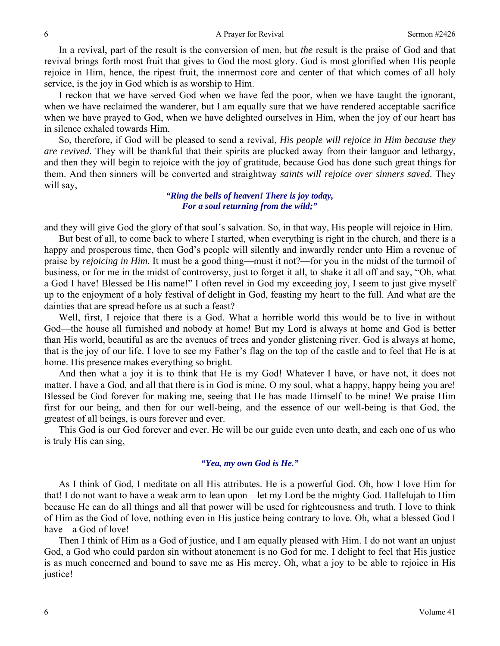In a revival, part of the result is the conversion of men, but *the* result is the praise of God and that revival brings forth most fruit that gives to God the most glory. God is most glorified when His people rejoice in Him, hence, the ripest fruit, the innermost core and center of that which comes of all holy service, is the joy in God which is as worship to Him.

I reckon that we have served God when we have fed the poor, when we have taught the ignorant, when we have reclaimed the wanderer, but I am equally sure that we have rendered acceptable sacrifice when we have prayed to God, when we have delighted ourselves in Him, when the joy of our heart has in silence exhaled towards Him.

So, therefore, if God will be pleased to send a revival, *His people will rejoice in Him because they are revived*. They will be thankful that their spirits are plucked away from their languor and lethargy, and then they will begin to rejoice with the joy of gratitude, because God has done such great things for them. And then sinners will be converted and straightway *saints will rejoice over sinners saved*. They will say,

#### *"Ring the bells of heaven! There is joy today, For a soul returning from the wild;"*

and they will give God the glory of that soul's salvation. So, in that way, His people will rejoice in Him.

But best of all, to come back to where I started, when everything is right in the church, and there is a happy and prosperous time, then God's people will silently and inwardly render unto Him a revenue of praise by *rejoicing in Him*. It must be a good thing—must it not?—for you in the midst of the turmoil of business, or for me in the midst of controversy, just to forget it all, to shake it all off and say, "Oh, what a God I have! Blessed be His name!" I often revel in God my exceeding joy, I seem to just give myself up to the enjoyment of a holy festival of delight in God, feasting my heart to the full. And what are the dainties that are spread before us at such a feast?

Well, first, I rejoice that there is a God. What a horrible world this would be to live in without God—the house all furnished and nobody at home! But my Lord is always at home and God is better than His world, beautiful as are the avenues of trees and yonder glistening river. God is always at home, that is the joy of our life. I love to see my Father's flag on the top of the castle and to feel that He is at home. His presence makes everything so bright.

And then what a joy it is to think that He is my God! Whatever I have, or have not, it does not matter. I have a God, and all that there is in God is mine. O my soul, what a happy, happy being you are! Blessed be God forever for making me, seeing that He has made Himself to be mine! We praise Him first for our being, and then for our well-being, and the essence of our well-being is that God, the greatest of all beings, is ours forever and ever.

This God is our God forever and ever. He will be our guide even unto death, and each one of us who is truly His can sing,

### *"Yea, my own God is He."*

As I think of God, I meditate on all His attributes. He is a powerful God. Oh, how I love Him for that! I do not want to have a weak arm to lean upon—let my Lord be the mighty God. Hallelujah to Him because He can do all things and all that power will be used for righteousness and truth. I love to think of Him as the God of love, nothing even in His justice being contrary to love. Oh, what a blessed God I have—a God of love!

Then I think of Him as a God of justice, and I am equally pleased with Him. I do not want an unjust God, a God who could pardon sin without atonement is no God for me. I delight to feel that His justice is as much concerned and bound to save me as His mercy. Oh, what a joy to be able to rejoice in His justice!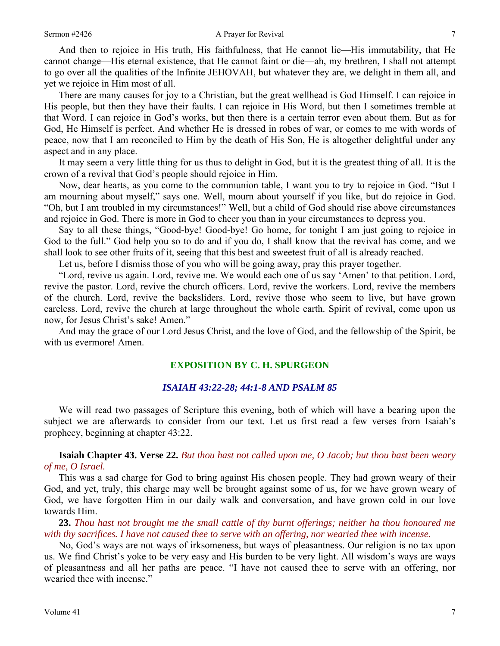And then to rejoice in His truth, His faithfulness, that He cannot lie—His immutability, that He cannot change—His eternal existence, that He cannot faint or die—ah, my brethren, I shall not attempt to go over all the qualities of the Infinite JEHOVAH, but whatever they are, we delight in them all, and yet we rejoice in Him most of all.

There are many causes for joy to a Christian, but the great wellhead is God Himself. I can rejoice in His people, but then they have their faults. I can rejoice in His Word, but then I sometimes tremble at that Word. I can rejoice in God's works, but then there is a certain terror even about them. But as for God, He Himself is perfect. And whether He is dressed in robes of war, or comes to me with words of peace, now that I am reconciled to Him by the death of His Son, He is altogether delightful under any aspect and in any place.

It may seem a very little thing for us thus to delight in God, but it is the greatest thing of all. It is the crown of a revival that God's people should rejoice in Him.

Now, dear hearts, as you come to the communion table, I want you to try to rejoice in God. "But I am mourning about myself," says one. Well, mourn about yourself if you like, but do rejoice in God. "Oh, but I am troubled in my circumstances!" Well, but a child of God should rise above circumstances and rejoice in God. There is more in God to cheer you than in your circumstances to depress you.

Say to all these things, "Good-bye! Good-bye! Go home, for tonight I am just going to rejoice in God to the full." God help you so to do and if you do, I shall know that the revival has come, and we shall look to see other fruits of it, seeing that this best and sweetest fruit of all is already reached.

Let us, before I dismiss those of you who will be going away, pray this prayer together.

"Lord, revive us again. Lord, revive me. We would each one of us say 'Amen' to that petition. Lord, revive the pastor. Lord, revive the church officers. Lord, revive the workers. Lord, revive the members of the church. Lord, revive the backsliders. Lord, revive those who seem to live, but have grown careless. Lord, revive the church at large throughout the whole earth. Spirit of revival, come upon us now, for Jesus Christ's sake! Amen."

And may the grace of our Lord Jesus Christ, and the love of God, and the fellowship of the Spirit, be with us evermore! Amen.

## **EXPOSITION BY C. H. SPURGEON**

#### *ISAIAH 43:22-28; 44:1-8 AND PSALM 85*

We will read two passages of Scripture this evening, both of which will have a bearing upon the subject we are afterwards to consider from our text. Let us first read a few verses from Isaiah's prophecy, beginning at chapter 43:22.

**Isaiah Chapter 43. Verse 22.** *But thou hast not called upon me, O Jacob; but thou hast been weary of me, O Israel.*

This was a sad charge for God to bring against His chosen people. They had grown weary of their God, and yet, truly, this charge may well be brought against some of us, for we have grown weary of God, we have forgotten Him in our daily walk and conversation, and have grown cold in our love towards Him.

**23.** *Thou hast not brought me the small cattle of thy burnt offerings; neither ha thou honoured me with thy sacrifices. I have not caused thee to serve with an offering, nor wearied thee with incense.* 

No, God's ways are not ways of irksomeness, but ways of pleasantness. Our religion is no tax upon us. We find Christ's yoke to be very easy and His burden to be very light. All wisdom's ways are ways of pleasantness and all her paths are peace. "I have not caused thee to serve with an offering, nor wearied thee with incense."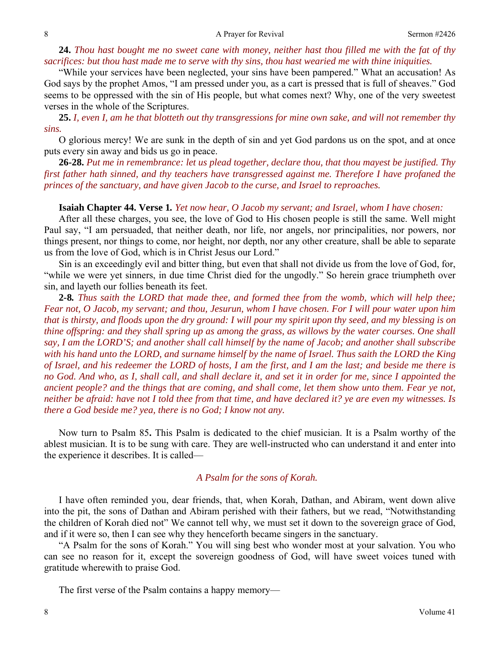#### 8 8 A Prayer for Revival Sermon #2426

## **24.** *Thou hast bought me no sweet cane with money, neither hast thou filled me with the fat of thy sacrifices: but thou hast made me to serve with thy sins, thou hast wearied me with thine iniquities.*

"While your services have been neglected, your sins have been pampered." What an accusation! As God says by the prophet Amos, "I am pressed under you, as a cart is pressed that is full of sheaves." God seems to be oppressed with the sin of His people, but what comes next? Why, one of the very sweetest verses in the whole of the Scriptures.

**25.** *I, even I, am he that blotteth out thy transgressions for mine own sake, and will not remember thy sins.* 

O glorious mercy! We are sunk in the depth of sin and yet God pardons us on the spot, and at once puts every sin away and bids us go in peace.

**26-28.** *Put me in remembrance: let us plead together, declare thou, that thou mayest be justified. Thy first father hath sinned, and thy teachers have transgressed against me. Therefore I have profaned the princes of the sanctuary, and have given Jacob to the curse, and Israel to reproaches.* 

#### **Isaiah Chapter 44. Verse 1***. Yet now hear, O Jacob my servant; and Israel, whom I have chosen:*

After all these charges, you see, the love of God to His chosen people is still the same. Well might Paul say, "I am persuaded, that neither death, nor life, nor angels, nor principalities, nor powers, nor things present, nor things to come, nor height, nor depth, nor any other creature, shall be able to separate us from the love of God, which is in Christ Jesus our Lord."

Sin is an exceedingly evil and bitter thing, but even that shall not divide us from the love of God, for, "while we were yet sinners, in due time Christ died for the ungodly." So herein grace triumpheth over sin, and layeth our follies beneath its feet.

**2***-***8***. Thus saith the LORD that made thee, and formed thee from the womb, which will help thee; Fear not, O Jacob, my servant; and thou, Jesurun, whom I have chosen. For I will pour water upon him that is thirsty, and floods upon the dry ground: I will pour my spirit upon thy seed, and my blessing is on thine offspring: and they shall spring up as among the grass, as willows by the water courses. One shall say, I am the LORD'S; and another shall call himself by the name of Jacob; and another shall subscribe with his hand unto the LORD, and surname himself by the name of Israel. Thus saith the LORD the King of Israel, and his redeemer the LORD of hosts, I am the first, and I am the last; and beside me there is no God. And who, as I, shall call, and shall declare it, and set it in order for me, since I appointed the ancient people? and the things that are coming, and shall come, let them show unto them. Fear ye not, neither be afraid: have not I told thee from that time, and have declared it? ye are even my witnesses. Is there a God beside me? yea, there is no God; I know not any.* 

Now turn to Psalm 85**.** This Psalm is dedicated to the chief musician. It is a Psalm worthy of the ablest musician. It is to be sung with care. They are well-instructed who can understand it and enter into the experience it describes. It is called—

## *A Psalm for the sons of Korah.*

I have often reminded you, dear friends, that, when Korah, Dathan, and Abiram, went down alive into the pit, the sons of Dathan and Abiram perished with their fathers, but we read, "Notwithstanding the children of Korah died not" We cannot tell why, we must set it down to the sovereign grace of God, and if it were so, then I can see why they henceforth became singers in the sanctuary.

"A Psalm for the sons of Korah." You will sing best who wonder most at your salvation. You who can see no reason for it, except the sovereign goodness of God, will have sweet voices tuned with gratitude wherewith to praise God.

The first verse of the Psalm contains a happy memory—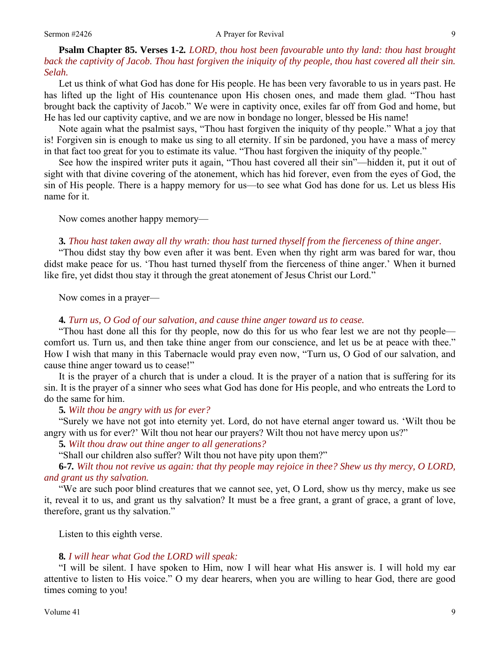#### Sermon #2426 **A Prayer for Revival** 9

## **Psalm Chapter 85. Verses 1***-***2***. LORD, thou host been favourable unto thy land: thou hast brought back the captivity of Jacob. Thou hast forgiven the iniquity of thy people, thou hast covered all their sin. Selah.*

Let us think of what God has done for His people. He has been very favorable to us in years past. He has lifted up the light of His countenance upon His chosen ones, and made them glad. "Thou hast brought back the captivity of Jacob." We were in captivity once, exiles far off from God and home, but He has led our captivity captive, and we are now in bondage no longer, blessed be His name!

Note again what the psalmist says, "Thou hast forgiven the iniquity of thy people." What a joy that is! Forgiven sin is enough to make us sing to all eternity. If sin be pardoned, you have a mass of mercy in that fact too great for you to estimate its value. "Thou hast forgiven the iniquity of thy people."

See how the inspired writer puts it again, "Thou hast covered all their sin"—hidden it, put it out of sight with that divine covering of the atonement, which has hid forever, even from the eyes of God, the sin of His people. There is a happy memory for us—to see what God has done for us. Let us bless His name for it.

Now comes another happy memory—

### **3***. Thou hast taken away all thy wrath: thou hast turned thyself from the fierceness of thine anger.*

"Thou didst stay thy bow even after it was bent. Even when thy right arm was bared for war, thou didst make peace for us. 'Thou hast turned thyself from the fierceness of thine anger.' When it burned like fire, yet didst thou stay it through the great atonement of Jesus Christ our Lord."

Now comes in a prayer—

## **4***. Turn us, O God of our salvation, and cause thine anger toward us to cease.*

"Thou hast done all this for thy people, now do this for us who fear lest we are not thy people comfort us. Turn us, and then take thine anger from our conscience, and let us be at peace with thee." How I wish that many in this Tabernacle would pray even now, "Turn us, O God of our salvation, and cause thine anger toward us to cease!"

It is the prayer of a church that is under a cloud. It is the prayer of a nation that is suffering for its sin. It is the prayer of a sinner who sees what God has done for His people, and who entreats the Lord to do the same for him.

#### **5***. Wilt thou be angry with us for ever?*

"Surely we have not got into eternity yet. Lord, do not have eternal anger toward us. 'Wilt thou be angry with us for ever?' Wilt thou not hear our prayers? Wilt thou not have mercy upon us?"

**5***. Wilt thou draw out thine anger to all generations?*

"Shall our children also suffer? Wilt thou not have pity upon them?"

**6***-***7***. Wilt thou not revive us again: that thy people may rejoice in thee? Shew us thy mercy, O LORD, and grant us thy salvation.*

"We are such poor blind creatures that we cannot see, yet, O Lord, show us thy mercy, make us see it, reveal it to us, and grant us thy salvation? It must be a free grant, a grant of grace, a grant of love, therefore, grant us thy salvation."

Listen to this eighth verse.

#### **8***. I will hear what God the LORD will speak:*

"I will be silent. I have spoken to Him, now I will hear what His answer is. I will hold my ear attentive to listen to His voice." O my dear hearers, when you are willing to hear God, there are good times coming to you!